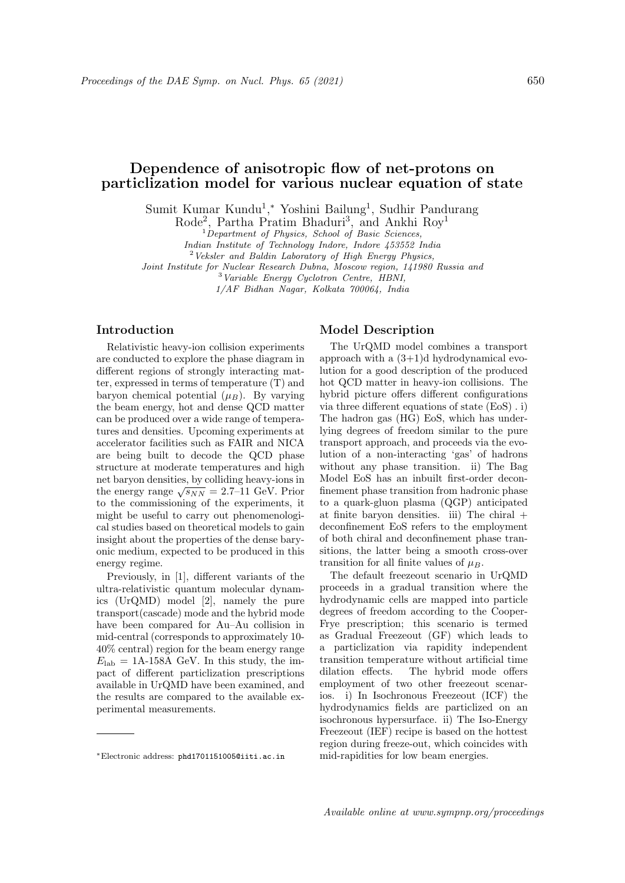# Dependence of anisotropic flow of net-protons on particlization model for various nuclear equation of state

Sumit Kumar Kundu<sup>1</sup>,\* Yoshini Bailung<sup>1</sup>, Sudhir Pandurang

Rode<sup>2</sup>, Partha Pratim Bhaduri<sup>3</sup>, and Ankhi Roy<sup>1</sup>

 $1$ Department of Physics, School of Basic Sciences,

Indian Institute of Technology Indore, Indore 453552 India

 $2$ <sup>2</sup> Veksler and Baldin Laboratory of High Energy Physics,

Joint Institute for Nuclear Research Dubna, Moscow region, 141980 Russia and

<sup>3</sup>Variable Energy Cyclotron Centre, HBNI, 1/AF Bidhan Nagar, Kolkata 700064, India

## Introduction

Relativistic heavy-ion collision experiments are conducted to explore the phase diagram in different regions of strongly interacting matter, expressed in terms of temperature (T) and baryon chemical potential  $(\mu_B)$ . By varying the beam energy, hot and dense QCD matter can be produced over a wide range of temperatures and densities. Upcoming experiments at accelerator facilities such as FAIR and NICA are being built to decode the QCD phase structure at moderate temperatures and high net baryon densities, by colliding heavy-ions in the energy range  $\sqrt{s_{NN}} = 2.7$ –11 GeV. Prior to the commissioning of the experiments, it might be useful to carry out phenomenological studies based on theoretical models to gain insight about the properties of the dense baryonic medium, expected to be produced in this energy regime.

Previously, in [1], different variants of the ultra-relativistic quantum molecular dynamics (UrQMD) model [2], namely the pure transport(cascade) mode and the hybrid mode have been compared for Au–Au collision in mid-central (corresponds to approximately 10- 40% central) region for the beam energy range  $E_{\rm lab} = 1$ A-158A GeV. In this study, the impact of different particlization prescriptions available in UrQMD have been examined, and the results are compared to the available experimental measurements.

#### Model Description

The UrQMD model combines a transport approach with a  $(3+1)d$  hydrodynamical evolution for a good description of the produced hot QCD matter in heavy-ion collisions. The hybrid picture offers different configurations via three different equations of state (EoS) . i) The hadron gas (HG) EoS, which has underlying degrees of freedom similar to the pure transport approach, and proceeds via the evolution of a non-interacting 'gas' of hadrons without any phase transition. ii) The Bag Model EoS has an inbuilt first-order deconfinement phase transition from hadronic phase to a quark-gluon plasma (QGP) anticipated at finite baryon densities. iii) The chiral + deconfinement EoS refers to the employment of both chiral and deconfinement phase transitions, the latter being a smooth cross-over transition for all finite values of  $\mu_B$ .

The default freezeout scenario in UrQMD proceeds in a gradual transition where the hydrodynamic cells are mapped into particle degrees of freedom according to the Cooper-Frye prescription; this scenario is termed as Gradual Freezeout (GF) which leads to a particlization via rapidity independent transition temperature without artificial time dilation effects. The hybrid mode offers employment of two other freezeout scenarios. i) In Isochronous Freezeout (ICF) the hydrodynamics fields are particlized on an isochronous hypersurface. ii) The Iso-Energy Freezeout (IEF) recipe is based on the hottest region during freeze-out, which coincides with mid-rapidities for low beam energies.

<sup>∗</sup>Electronic address: phd1701151005@iiti.ac.in